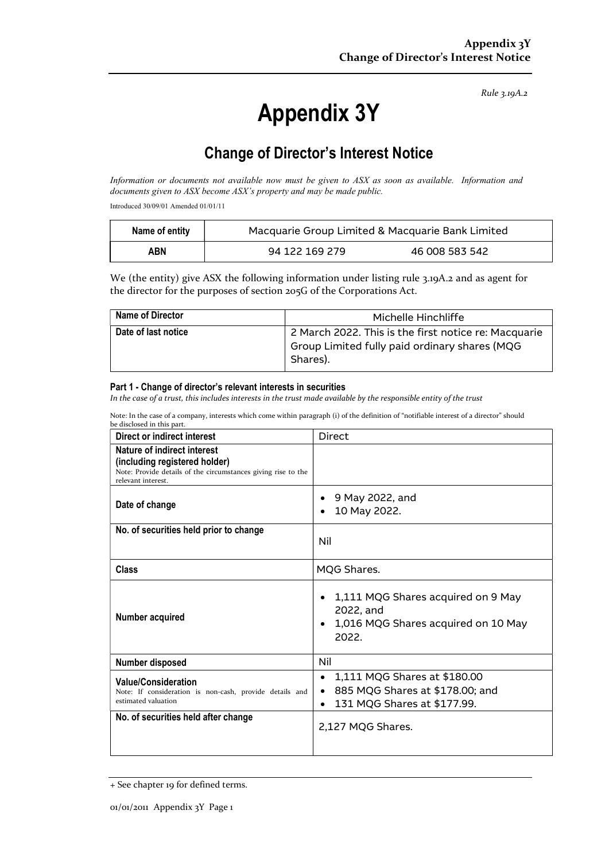Rule 3.19A.2

# Appendix 3Y

# Change of Director's Interest Notice

Information or documents not available now must be given to ASX as soon as available. Information and documents given to ASX become ASX's property and may be made public.

Introduced 30/09/01 Amended 01/01/11

| Name of entity | Macquarie Group Limited & Macquarie Bank Limited |                |
|----------------|--------------------------------------------------|----------------|
| ABN            | 94 122 169 279                                   | 46 008 583 542 |

We (the entity) give ASX the following information under listing rule 3.19A.2 and as agent for the director for the purposes of section 205G of the Corporations Act.

| <b>Name of Director</b> | Michelle Hinchliffe                                       |
|-------------------------|-----------------------------------------------------------|
| Date of last notice     | 2 March 2022. This is the first notice re: Macquarie      |
|                         | Group Limited fully paid ordinary shares (MQG<br>Shares). |
|                         |                                                           |

#### Part 1 - Change of director's relevant interests in securities

In the case of a trust, this includes interests in the trust made available by the responsible entity of the trust

Note: In the case of a company, interests which come within paragraph (i) of the definition of "notifiable interest of a director" should be disclosed in this part.

| Direct or indirect interest                                                                                                                         | <b>Direct</b>                                                                                                                         |  |
|-----------------------------------------------------------------------------------------------------------------------------------------------------|---------------------------------------------------------------------------------------------------------------------------------------|--|
| Nature of indirect interest<br>(including registered holder)<br>Note: Provide details of the circumstances giving rise to the<br>relevant interest. |                                                                                                                                       |  |
| Date of change                                                                                                                                      | 9 May 2022, and<br>10 May 2022.                                                                                                       |  |
| No. of securities held prior to change                                                                                                              | Nil                                                                                                                                   |  |
| Class                                                                                                                                               | MQG Shares.                                                                                                                           |  |
| Number acquired                                                                                                                                     | 1,111 MQG Shares acquired on 9 May<br>$\bullet$<br>2022, and<br>1,016 MQG Shares acquired on 10 May<br>$\bullet$<br>2022.             |  |
| Number disposed                                                                                                                                     | Nil                                                                                                                                   |  |
| <b>Value/Consideration</b><br>Note: If consideration is non-cash, provide details and<br>estimated valuation                                        | 1,111 MQG Shares at \$180.00<br>$\bullet$<br>885 MQG Shares at \$178.00; and<br>$\bullet$<br>131 MQG Shares at \$177.99.<br>$\bullet$ |  |
| No. of securities held after change                                                                                                                 | 2,127 MQG Shares.                                                                                                                     |  |

<sup>+</sup> See chapter 19 for defined terms.